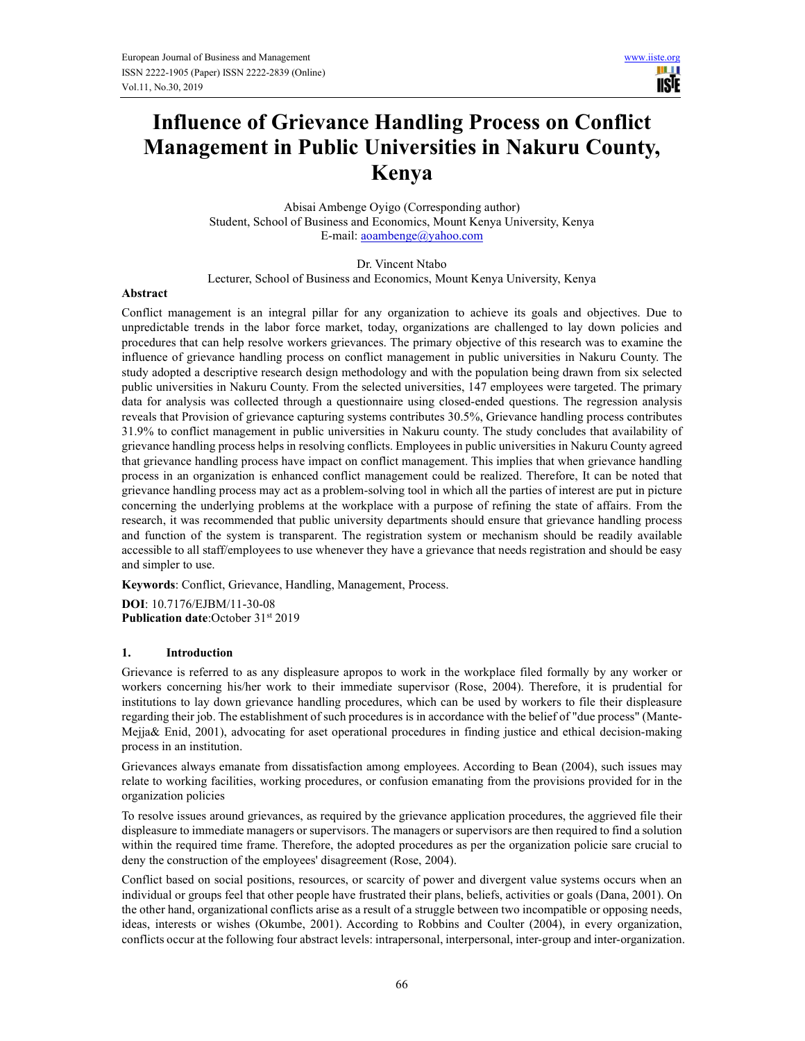ШJ **USTE** 

# **Influence of Grievance Handling Process on Conflict Management in Public Universities in Nakuru County, Kenya**

Abisai Ambenge Oyigo (Corresponding author) Student, School of Business and Economics, Mount Kenya University, Kenya E-mail: aoambenge@yahoo.com

Dr. Vincent Ntabo Lecturer, School of Business and Economics, Mount Kenya University, Kenya

#### **Abstract**

Conflict management is an integral pillar for any organization to achieve its goals and objectives. Due to unpredictable trends in the labor force market, today, organizations are challenged to lay down policies and procedures that can help resolve workers grievances. The primary objective of this research was to examine the influence of grievance handling process on conflict management in public universities in Nakuru County. The study adopted a descriptive research design methodology and with the population being drawn from six selected public universities in Nakuru County. From the selected universities, 147 employees were targeted. The primary data for analysis was collected through a questionnaire using closed-ended questions. The regression analysis reveals that Provision of grievance capturing systems contributes 30.5%, Grievance handling process contributes 31.9% to conflict management in public universities in Nakuru county. The study concludes that availability of grievance handling process helps in resolving conflicts. Employees in public universities in Nakuru County agreed that grievance handling process have impact on conflict management. This implies that when grievance handling process in an organization is enhanced conflict management could be realized. Therefore, It can be noted that grievance handling process may act as a problem-solving tool in which all the parties of interest are put in picture concerning the underlying problems at the workplace with a purpose of refining the state of affairs. From the research, it was recommended that public university departments should ensure that grievance handling process and function of the system is transparent. The registration system or mechanism should be readily available accessible to all staff/employees to use whenever they have a grievance that needs registration and should be easy and simpler to use.

**Keywords**: Conflict, Grievance, Handling, Management, Process.

**DOI**: 10.7176/EJBM/11-30-08 **Publication date:October 31st 2019** 

## **1. Introduction**

Grievance is referred to as any displeasure apropos to work in the workplace filed formally by any worker or workers concerning his/her work to their immediate supervisor (Rose, 2004). Therefore, it is prudential for institutions to lay down grievance handling procedures, which can be used by workers to file their displeasure regarding their job. The establishment of such procedures is in accordance with the belief of "due process" (Mante-Mejja& Enid, 2001), advocating for aset operational procedures in finding justice and ethical decision-making process in an institution.

Grievances always emanate from dissatisfaction among employees. According to Bean (2004), such issues may relate to working facilities, working procedures, or confusion emanating from the provisions provided for in the organization policies

To resolve issues around grievances, as required by the grievance application procedures, the aggrieved file their displeasure to immediate managers or supervisors. The managers or supervisors are then required to find a solution within the required time frame. Therefore, the adopted procedures as per the organization policie sare crucial to deny the construction of the employees' disagreement (Rose, 2004).

Conflict based on social positions, resources, or scarcity of power and divergent value systems occurs when an individual or groups feel that other people have frustrated their plans, beliefs, activities or goals (Dana, 2001). On the other hand, organizational conflicts arise as a result of a struggle between two incompatible or opposing needs, ideas, interests or wishes (Okumbe, 2001). According to Robbins and Coulter (2004), in every organization, conflicts occur at the following four abstract levels: intrapersonal, interpersonal, inter-group and inter-organization.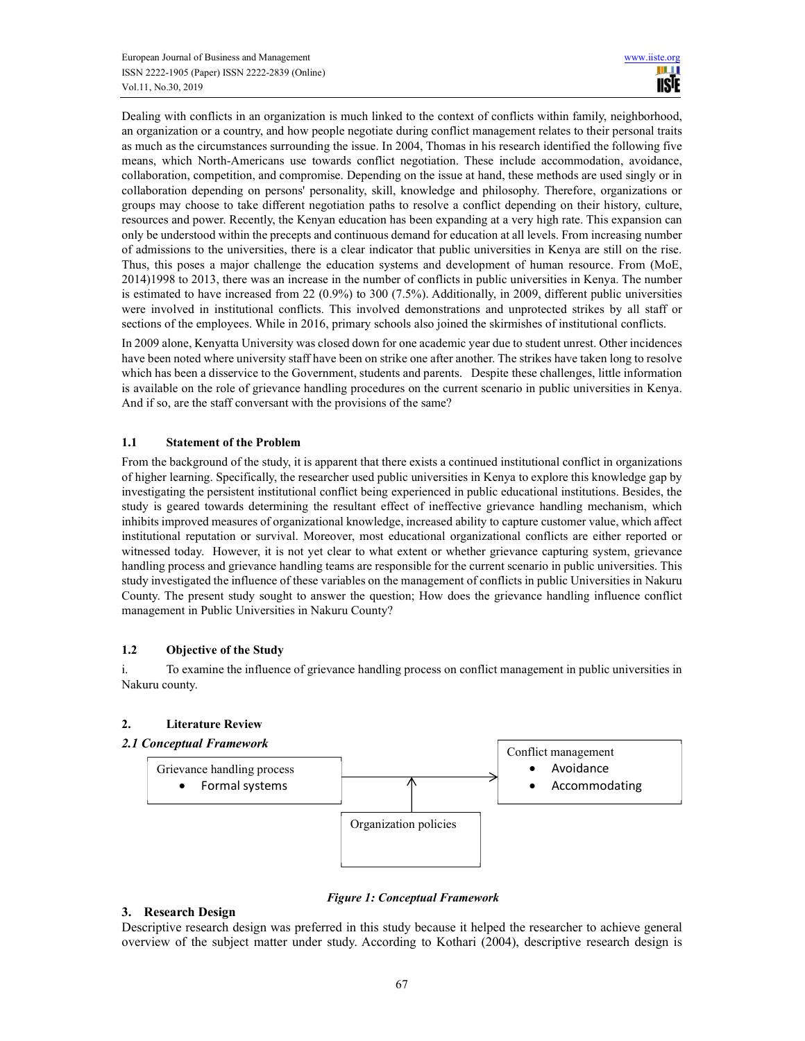Dealing with conflicts in an organization is much linked to the context of conflicts within family, neighborhood, an organization or a country, and how people negotiate during conflict management relates to their personal traits as much as the circumstances surrounding the issue. In 2004, Thomas in his research identified the following five means, which North-Americans use towards conflict negotiation. These include accommodation, avoidance, collaboration, competition, and compromise. Depending on the issue at hand, these methods are used singly or in collaboration depending on persons' personality, skill, knowledge and philosophy. Therefore, organizations or groups may choose to take different negotiation paths to resolve a conflict depending on their history, culture, resources and power. Recently, the Kenyan education has been expanding at a very high rate. This expansion can only be understood within the precepts and continuous demand for education at all levels. From increasing number of admissions to the universities, there is a clear indicator that public universities in Kenya are still on the rise. Thus, this poses a major challenge the education systems and development of human resource. From (MoE, 2014)1998 to 2013, there was an increase in the number of conflicts in public universities in Kenya. The number is estimated to have increased from 22 (0.9%) to 300 (7.5%). Additionally, in 2009, different public universities were involved in institutional conflicts. This involved demonstrations and unprotected strikes by all staff or sections of the employees. While in 2016, primary schools also joined the skirmishes of institutional conflicts.

In 2009 alone, Kenyatta University was closed down for one academic year due to student unrest. Other incidences have been noted where university staff have been on strike one after another. The strikes have taken long to resolve which has been a disservice to the Government, students and parents. Despite these challenges, little information is available on the role of grievance handling procedures on the current scenario in public universities in Kenya. And if so, are the staff conversant with the provisions of the same?

## **1.1 Statement of the Problem**

From the background of the study, it is apparent that there exists a continued institutional conflict in organizations of higher learning. Specifically, the researcher used public universities in Kenya to explore this knowledge gap by investigating the persistent institutional conflict being experienced in public educational institutions. Besides, the study is geared towards determining the resultant effect of ineffective grievance handling mechanism, which inhibits improved measures of organizational knowledge, increased ability to capture customer value, which affect institutional reputation or survival. Moreover, most educational organizational conflicts are either reported or witnessed today. However, it is not yet clear to what extent or whether grievance capturing system, grievance handling process and grievance handling teams are responsible for the current scenario in public universities. This study investigated the influence of these variables on the management of conflicts in public Universities in Nakuru County. The present study sought to answer the question; How does the grievance handling influence conflict management in Public Universities in Nakuru County?

# **1.2 Objective of the Study**

i. To examine the influence of grievance handling process on conflict management in public universities in Nakuru county.

# **2. Literature Review**

## *2.1 Conceptual Framework*



*Figure 1: Conceptual Framework* 

## **3. Research Design**

Descriptive research design was preferred in this study because it helped the researcher to achieve general overview of the subject matter under study. According to Kothari (2004), descriptive research design is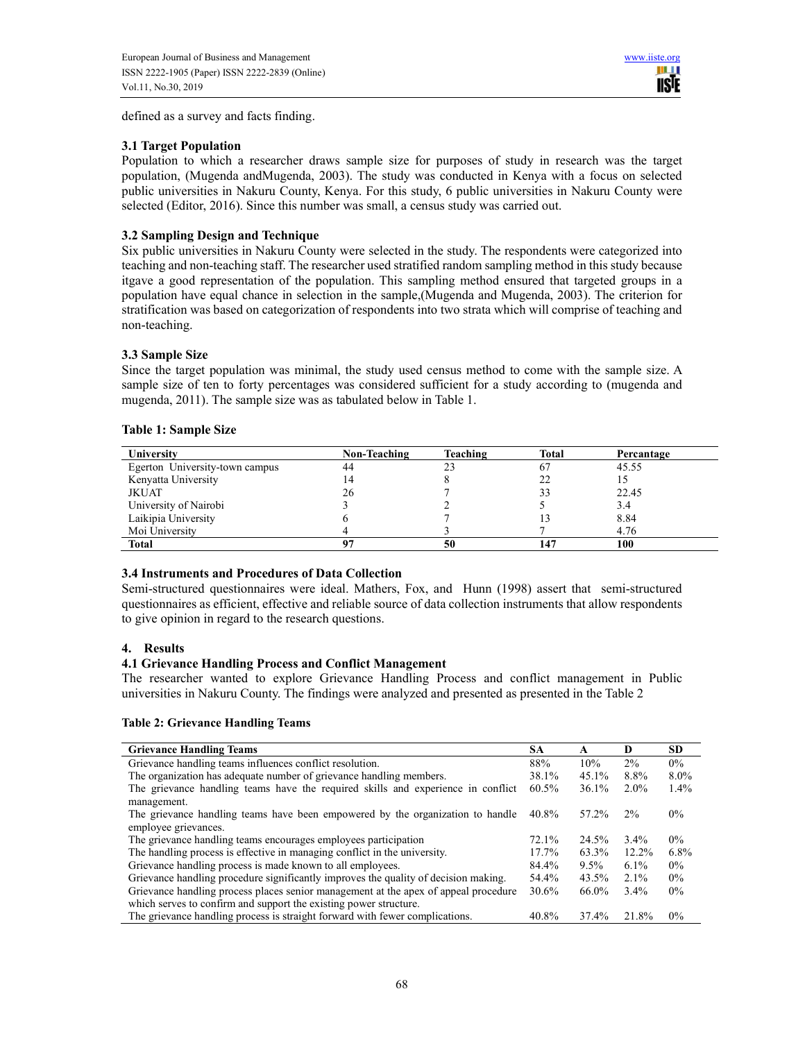defined as a survey and facts finding.

## **3.1 Target Population**

Population to which a researcher draws sample size for purposes of study in research was the target population, (Mugenda andMugenda, 2003). The study was conducted in Kenya with a focus on selected public universities in Nakuru County, Kenya. For this study, 6 public universities in Nakuru County were selected (Editor, 2016). Since this number was small, a census study was carried out.

# **3.2 Sampling Design and Technique**

Six public universities in Nakuru County were selected in the study. The respondents were categorized into teaching and non-teaching staff. The researcher used stratified random sampling method in this study because itgave a good representation of the population. This sampling method ensured that targeted groups in a population have equal chance in selection in the sample,(Mugenda and Mugenda, 2003). The criterion for stratification was based on categorization of respondents into two strata which will comprise of teaching and non-teaching.

## **3.3 Sample Size**

Since the target population was minimal, the study used census method to come with the sample size. A sample size of ten to forty percentages was considered sufficient for a study according to (mugenda and mugenda, 2011). The sample size was as tabulated below in Table 1.

| <b>Table 1: Sample Size</b> |  |
|-----------------------------|--|
|-----------------------------|--|

| University                     | Non-Teaching | Teaching | Total | Percantage |
|--------------------------------|--------------|----------|-------|------------|
| Egerton University-town campus | 44           | 23       |       | 45.55      |
| Kenyatta University            |              |          |       |            |
| JKUAT                          | 26           |          |       | 22.45      |
| University of Nairobi          |              |          |       | 3.4        |
| Laikipia University            |              |          |       | 8.84       |
| Moi University                 |              |          |       | 4.76       |
| <b>Total</b>                   | 07           | 50       |       | 100        |

# **3.4 Instruments and Procedures of Data Collection**

Semi-structured questionnaires were ideal. Mathers, Fox, and Hunn (1998) assert that semi-structured questionnaires as efficient, effective and reliable source of data collection instruments that allow respondents to give opinion in regard to the research questions.

## **4. Results**

## **4.1 Grievance Handling Process and Conflict Management**

The researcher wanted to explore Grievance Handling Process and conflict management in Public universities in Nakuru County. The findings were analyzed and presented as presented in the Table 2

## **Table 2: Grievance Handling Teams**

| <b>Grievance Handling Teams</b>                                                     | SА    | A       | D        | <b>SD</b> |
|-------------------------------------------------------------------------------------|-------|---------|----------|-----------|
| Grievance handling teams influences conflict resolution.                            | 88%   | 10%     | 2%       | $0\%$     |
| The organization has adequate number of grievance handling members.                 |       | 45.1%   | 8.8%     | $8.0\%$   |
| The grievance handling teams have the required skills and experience in conflict    |       | 36.1%   | $2.0\%$  | $1.4\%$   |
| management.                                                                         |       |         |          |           |
| The grievance handling teams have been empowered by the organization to handle      |       | 57.2%   | 2%       | $0\%$     |
| employee grievances.                                                                |       |         |          |           |
| The grievance handling teams encourages employees participation                     |       | 24.5%   | $3.4\%$  | $0\%$     |
| The handling process is effective in managing conflict in the university.           |       | 63.3%   | $12.2\%$ | 6.8%      |
| Grievance handling process is made known to all employees.                          |       | $9.5\%$ | $6.1\%$  | $0\%$     |
| Grievance handling procedure significantly improves the quality of decision making. |       | 43.5%   | $2.1\%$  | $0\%$     |
| Grievance handling process places senior management at the apex of appeal procedure |       | 66.0%   | $3.4\%$  | $0\%$     |
| which serves to confirm and support the existing power structure.                   |       |         |          |           |
| The grievance handling process is straight forward with fewer complications.        | 40.8% | 37.4%   | 21.8%    | $0\%$     |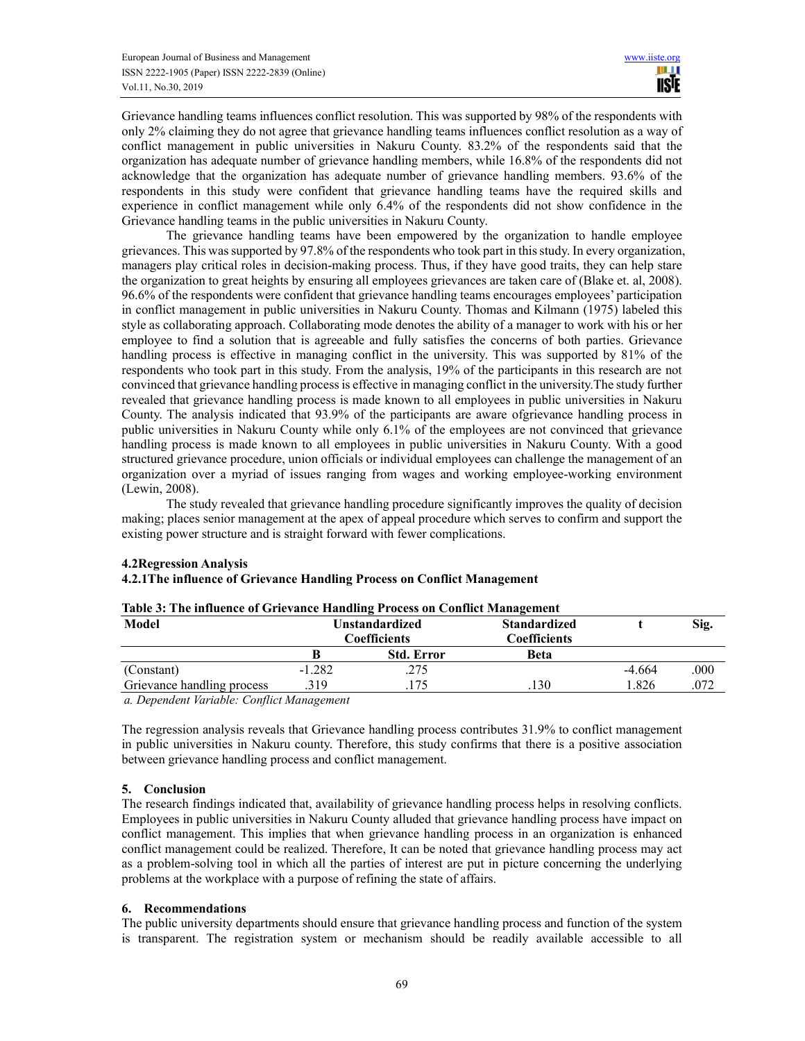Grievance handling teams influences conflict resolution. This was supported by 98% of the respondents with only 2% claiming they do not agree that grievance handling teams influences conflict resolution as a way of conflict management in public universities in Nakuru County. 83.2% of the respondents said that the organization has adequate number of grievance handling members, while 16.8% of the respondents did not acknowledge that the organization has adequate number of grievance handling members. 93.6% of the respondents in this study were confident that grievance handling teams have the required skills and experience in conflict management while only 6.4% of the respondents did not show confidence in the Grievance handling teams in the public universities in Nakuru County.

 The grievance handling teams have been empowered by the organization to handle employee grievances. This was supported by 97.8% of the respondents who took part in this study. In every organization, managers play critical roles in decision-making process. Thus, if they have good traits, they can help stare the organization to great heights by ensuring all employees grievances are taken care of (Blake et. al, 2008). 96.6% of the respondents were confident that grievance handling teams encourages employees' participation in conflict management in public universities in Nakuru County. Thomas and Kilmann (1975) labeled this style as collaborating approach. Collaborating mode denotes the ability of a manager to work with his or her employee to find a solution that is agreeable and fully satisfies the concerns of both parties. Grievance handling process is effective in managing conflict in the university. This was supported by 81% of the respondents who took part in this study. From the analysis, 19% of the participants in this research are not convinced that grievance handling process is effective in managing conflict in the university.The study further revealed that grievance handling process is made known to all employees in public universities in Nakuru County. The analysis indicated that 93.9% of the participants are aware ofgrievance handling process in public universities in Nakuru County while only 6.1% of the employees are not convinced that grievance handling process is made known to all employees in public universities in Nakuru County. With a good structured grievance procedure, union officials or individual employees can challenge the management of an organization over a myriad of issues ranging from wages and working employee-working environment (Lewin, 2008).

 The study revealed that grievance handling procedure significantly improves the quality of decision making; places senior management at the apex of appeal procedure which serves to confirm and support the existing power structure and is straight forward with fewer complications.

| Table 3: The influence of Grievance Handling Process on Conflict Management |                       |                   |                     |          |      |  |  |  |
|-----------------------------------------------------------------------------|-----------------------|-------------------|---------------------|----------|------|--|--|--|
| Model                                                                       | <b>Unstandardized</b> |                   | <b>Standardized</b> |          | Sig. |  |  |  |
| <b>Coefficients</b>                                                         |                       |                   | Coefficients        |          |      |  |  |  |
|                                                                             | В                     | <b>Std. Error</b> | <b>Beta</b>         |          |      |  |  |  |
| (Constant)                                                                  | $-1.282$              | .275              |                     | $-4.664$ | .000 |  |  |  |
| Grievance handling process                                                  | .319                  | .175              | .130                | 1.826    | .072 |  |  |  |
|                                                                             |                       |                   |                     |          |      |  |  |  |

## **4.2Regression Analysis**

# **4.2.1The influence of Grievance Handling Process on Conflict Management**

*a. Dependent Variable: Conflict Management* 

The regression analysis reveals that Grievance handling process contributes 31.9% to conflict management in public universities in Nakuru county. Therefore, this study confirms that there is a positive association between grievance handling process and conflict management.

## **5. Conclusion**

The research findings indicated that, availability of grievance handling process helps in resolving conflicts. Employees in public universities in Nakuru County alluded that grievance handling process have impact on conflict management. This implies that when grievance handling process in an organization is enhanced conflict management could be realized. Therefore, It can be noted that grievance handling process may act as a problem-solving tool in which all the parties of interest are put in picture concerning the underlying problems at the workplace with a purpose of refining the state of affairs.

## **6. Recommendations**

The public university departments should ensure that grievance handling process and function of the system is transparent. The registration system or mechanism should be readily available accessible to all